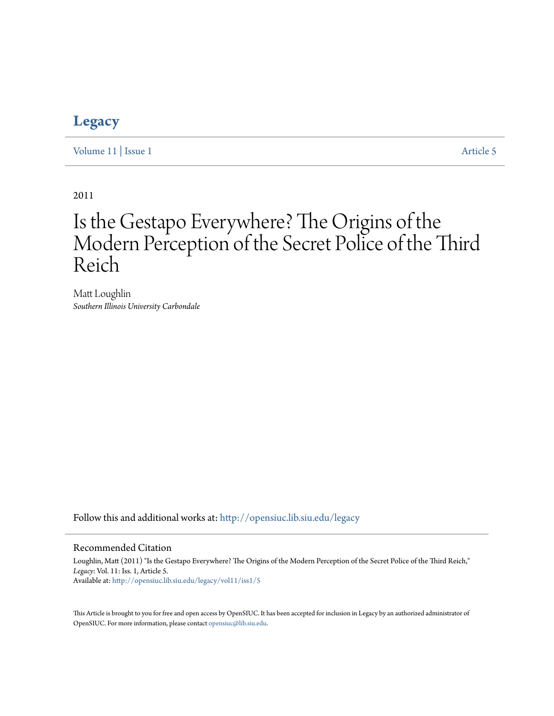## **[Legacy](http://opensiuc.lib.siu.edu/legacy?utm_source=opensiuc.lib.siu.edu%2Flegacy%2Fvol11%2Fiss1%2F5&utm_medium=PDF&utm_campaign=PDFCoverPages)**

[Volume 11](http://opensiuc.lib.siu.edu/legacy/vol11?utm_source=opensiuc.lib.siu.edu%2Flegacy%2Fvol11%2Fiss1%2F5&utm_medium=PDF&utm_campaign=PDFCoverPages) | [Issue 1](http://opensiuc.lib.siu.edu/legacy/vol11/iss1?utm_source=opensiuc.lib.siu.edu%2Flegacy%2Fvol11%2Fiss1%2F5&utm_medium=PDF&utm_campaign=PDFCoverPages) [Article 5](http://opensiuc.lib.siu.edu/legacy/vol11/iss1/5?utm_source=opensiuc.lib.siu.edu%2Flegacy%2Fvol11%2Fiss1%2F5&utm_medium=PDF&utm_campaign=PDFCoverPages)

2011

# Is the Gestapo Everywhere? The Origins of the Modern Perception of the Secret Police of the Third Reich

Matt Loughlin *Southern Illinois University Carbondale*

Follow this and additional works at: [http://opensiuc.lib.siu.edu/legacy](http://opensiuc.lib.siu.edu/legacy?utm_source=opensiuc.lib.siu.edu%2Flegacy%2Fvol11%2Fiss1%2F5&utm_medium=PDF&utm_campaign=PDFCoverPages)

#### Recommended Citation

Loughlin, Matt (2011) "Is the Gestapo Everywhere? The Origins of the Modern Perception of the Secret Police of the Third Reich," *Legacy*: Vol. 11: Iss. 1, Article 5. Available at: [http://opensiuc.lib.siu.edu/legacy/vol11/iss1/5](http://opensiuc.lib.siu.edu/legacy/vol11/iss1/5?utm_source=opensiuc.lib.siu.edu%2Flegacy%2Fvol11%2Fiss1%2F5&utm_medium=PDF&utm_campaign=PDFCoverPages)

This Article is brought to you for free and open access by OpenSIUC. It has been accepted for inclusion in Legacy by an authorized administrator of OpenSIUC. For more information, please contact [opensiuc@lib.siu.edu.](mailto:opensiuc@lib.siu.edu)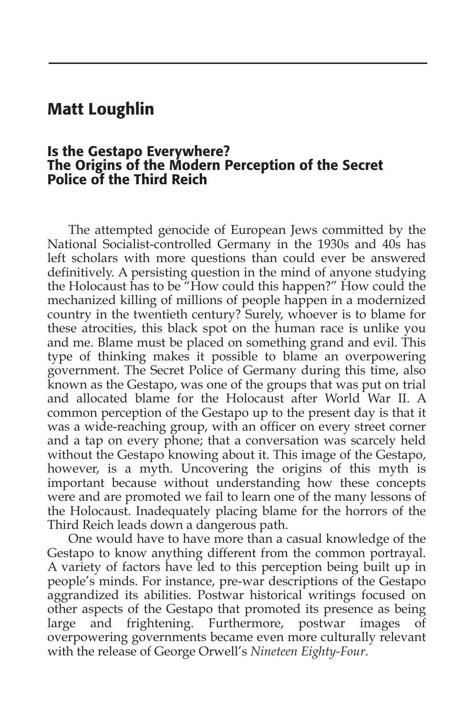## Matt Loughlin

## Is the Gestapo Everywhere? The Origins of the Modern Perception of the Secret Police of the Third Reich

The attempted genocide of European Jews committed by the National Socialist-controlled Germany in the 1930s and 40s has left scholars with more questions than could ever be answered definitively. A persisting question in the mind of anyone studying the Holocaust has to be "How could this happen?" How could the mechanized killing of millions of people happen in a modernized country in the twentieth century? Surely, whoever is to blame for these atrocities, this black spot on the human race is unlike you and me. Blame must be placed on something grand and evil. This type of thinking makes it possible to blame an overpowering government. The Secret Police of Germany during this time, also known as the Gestapo, was one of the groups that was put on trial and allocated blame for the Holocaust after World War II. A common perception of the Gestapo up to the present day is that it was a wide-reaching group, with an officer on every street corner and a tap on every phone; that a conversation was scarcely held without the Gestapo knowing about it. This image of the Gestapo, however, is a myth. Uncovering the origins of this myth is important because without understanding how these concepts were and are promoted we fail to learn one of the many lessons of the Holocaust. Inadequately placing blame for the horrors of the Third Reich leads down a dangerous path.

One would have to have more than a casual knowledge of the Gestapo to know anything different from the common portrayal. A variety of factors have led to this perception being built up in people's minds. For instance, pre-war descriptions of the Gestapo aggrandized its abilities. Postwar historical writings focused on other aspects of the Gestapo that promoted its presence as being large and frightening. Furthermore, postwar images of overpowering governments became even more culturally relevant with the release of George Orwell's *Nineteen Eighty-Four*.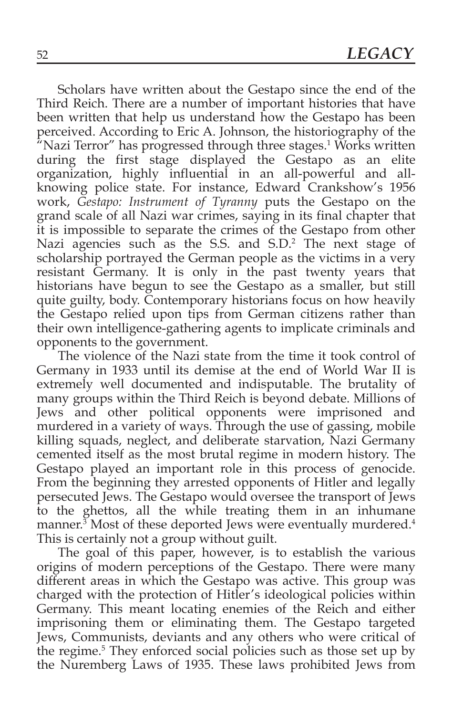Scholars have written about the Gestapo since the end of the Third Reich. There are a number of important histories that have been written that help us understand how the Gestapo has been perceived. According to Eric A. Johnson, the historiography of the "Nazi Terror" has progressed through three stages.<sup>1</sup> Works written during the first stage displayed the Gestapo as an elite organization, highly influential in an all-powerful and allknowing police state. For instance, Edward Crankshow's 1956 work, *Gestapo: Instrument of Tyranny* puts the Gestapo on the grand scale of all Nazi war crimes, saying in its final chapter that it is impossible to separate the crimes of the Gestapo from other Nazi agencies such as the S.S. and S.D.2 The next stage of scholarship portrayed the German people as the victims in a very resistant Germany. It is only in the past twenty years that historians have begun to see the Gestapo as a smaller, but still quite guilty, body. Contemporary historians focus on how heavily the Gestapo relied upon tips from German citizens rather than their own intelligence-gathering agents to implicate criminals and opponents to the government.

The violence of the Nazi state from the time it took control of Germany in 1933 until its demise at the end of World War II is extremely well documented and indisputable. The brutality of many groups within the Third Reich is beyond debate. Millions of Jews and other political opponents were imprisoned and murdered in a variety of ways. Through the use of gassing, mobile killing squads, neglect, and deliberate starvation, Nazi Germany cemented itself as the most brutal regime in modern history. The Gestapo played an important role in this process of genocide. From the beginning they arrested opponents of Hitler and legally persecuted Jews. The Gestapo would oversee the transport of Jews to the ghettos, all the while treating them in an inhumane manner.3 Most of these deported Jews were eventually murdered.4 This is certainly not a group without guilt.

The goal of this paper, however, is to establish the various origins of modern perceptions of the Gestapo. There were many different areas in which the Gestapo was active. This group was charged with the protection of Hitler's ideological policies within Germany. This meant locating enemies of the Reich and either imprisoning them or eliminating them. The Gestapo targeted Jews, Communists, deviants and any others who were critical of the regime.<sup>5</sup> They enforced social policies such as those set up by the Nuremberg Laws of 1935. These laws prohibited Jews from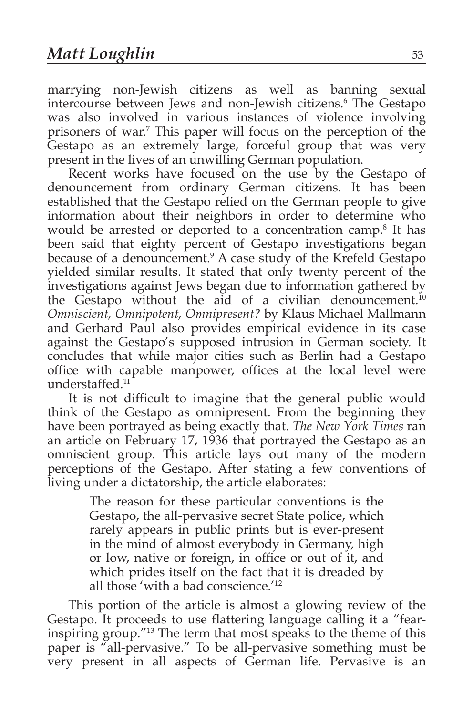marrying non-Jewish citizens as well as banning sexual intercourse between Jews and non-Jewish citizens.6 The Gestapo was also involved in various instances of violence involving prisoners of war.7 This paper will focus on the perception of the Gestapo as an extremely large, forceful group that was very present in the lives of an unwilling German population.

Recent works have focused on the use by the Gestapo of denouncement from ordinary German citizens. It has been established that the Gestapo relied on the German people to give information about their neighbors in order to determine who would be arrested or deported to a concentration camp.<sup>8</sup> It has been said that eighty percent of Gestapo investigations began because of a denouncement.<sup>9</sup> A case study of the Krefeld Gestapo yielded similar results. It stated that only twenty percent of the investigations against Jews began due to information gathered by the Gestapo without the aid of a civilian denouncement.<sup>10</sup> *Omniscient, Omnipotent, Omnipresent?* by Klaus Michael Mallmann and Gerhard Paul also provides empirical evidence in its case against the Gestapo's supposed intrusion in German society. It concludes that while major cities such as Berlin had a Gestapo office with capable manpower, offices at the local level were understaffed.11

It is not difficult to imagine that the general public would think of the Gestapo as omnipresent. From the beginning they have been portrayed as being exactly that. *The New York Times* ran an article on February 17, 1936 that portrayed the Gestapo as an omniscient group. This article lays out many of the modern perceptions of the Gestapo. After stating a few conventions of living under a dictatorship, the article elaborates:

> The reason for these particular conventions is the Gestapo, the all-pervasive secret State police, which rarely appears in public prints but is ever-present in the mind of almost everybody in Germany, high or low, native or foreign, in office or out of it, and which prides itself on the fact that it is dreaded by all those 'with a bad conscience.'12

This portion of the article is almost a glowing review of the Gestapo. It proceeds to use flattering language calling it a "fearinspiring group."13 The term that most speaks to the theme of this paper is "all-pervasive." To be all-pervasive something must be very present in all aspects of German life. Pervasive is an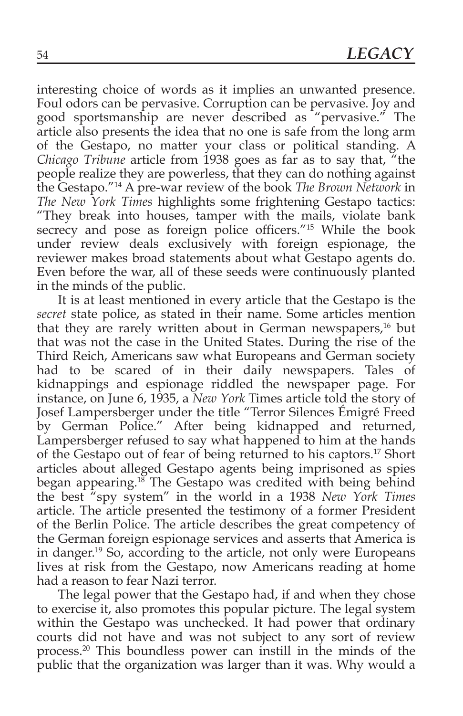interesting choice of words as it implies an unwanted presence. Foul odors can be pervasive. Corruption can be pervasive. Joy and good sportsmanship are never described as "pervasive." The article also presents the idea that no one is safe from the long arm of the Gestapo, no matter your class or political standing. A *Chicago Tribune* article from 1938 goes as far as to say that, "the people realize they are powerless, that they can do nothing against the Gestapo."14 A pre-war review of the book *The Brown Network* in *The New York Times* highlights some frightening Gestapo tactics: "They break into houses, tamper with the mails, violate bank secrecy and pose as foreign police officers."<sup>15</sup> While the book under review deals exclusively with foreign espionage, the reviewer makes broad statements about what Gestapo agents do. Even before the war, all of these seeds were continuously planted in the minds of the public.

It is at least mentioned in every article that the Gestapo is the *secret* state police, as stated in their name. Some articles mention that they are rarely written about in German newspapers,<sup>16</sup> but that was not the case in the United States. During the rise of the Third Reich, Americans saw what Europeans and German society had to be scared of in their daily newspapers. Tales of kidnappings and espionage riddled the newspaper page. For instance, on June 6, 1935, a *New York* Times article told the story of Josef Lampersberger under the title "Terror Silences Émigré Freed by German Police." After being kidnapped and returned, Lampersberger refused to say what happened to him at the hands of the Gestapo out of fear of being returned to his captors.17 Short articles about alleged Gestapo agents being imprisoned as spies began appearing.<sup>18</sup> The Gestapo was credited with being behind the best "spy system" in the world in a 1938 *New York Times* article. The article presented the testimony of a former President of the Berlin Police. The article describes the great competency of the German foreign espionage services and asserts that America is in danger.<sup>19</sup> So, according to the article, not only were Europeans lives at risk from the Gestapo, now Americans reading at home had a reason to fear Nazi terror.

The legal power that the Gestapo had, if and when they chose to exercise it, also promotes this popular picture. The legal system within the Gestapo was unchecked. It had power that ordinary courts did not have and was not subject to any sort of review process.20 This boundless power can instill in the minds of the public that the organization was larger than it was. Why would a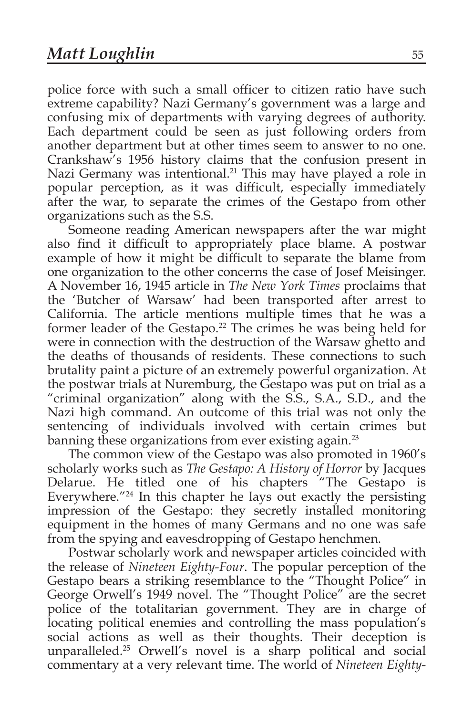police force with such a small officer to citizen ratio have such extreme capability? Nazi Germany's government was a large and confusing mix of departments with varying degrees of authority. Each department could be seen as just following orders from another department but at other times seem to answer to no one. Crankshaw's 1956 history claims that the confusion present in Nazi Germany was intentional.<sup>21</sup> This may have played a role in popular perception, as it was difficult, especially immediately after the war, to separate the crimes of the Gestapo from other organizations such as the S.S.

Someone reading American newspapers after the war might also find it difficult to appropriately place blame. A postwar example of how it might be difficult to separate the blame from one organization to the other concerns the case of Josef Meisinger. A November 16, 1945 article in *The New York Times* proclaims that the 'Butcher of Warsaw' had been transported after arrest to California. The article mentions multiple times that he was a former leader of the Gestapo.<sup>22</sup> The crimes he was being held for were in connection with the destruction of the Warsaw ghetto and the deaths of thousands of residents. These connections to such brutality paint a picture of an extremely powerful organization. At the postwar trials at Nuremburg, the Gestapo was put on trial as a "criminal organization" along with the S.S., S.A., S.D., and the Nazi high command. An outcome of this trial was not only the sentencing of individuals involved with certain crimes but banning these organizations from ever existing again.<sup>23</sup>

The common view of the Gestapo was also promoted in 1960's scholarly works such as *The Gestapo: A History of Horror* by Jacques Delarue. He titled one of his chapters "The Gestapo is Everywhere."24 In this chapter he lays out exactly the persisting impression of the Gestapo: they secretly installed monitoring equipment in the homes of many Germans and no one was safe from the spying and eavesdropping of Gestapo henchmen.

Postwar scholarly work and newspaper articles coincided with the release of *Nineteen Eighty-Four*. The popular perception of the Gestapo bears a striking resemblance to the "Thought Police" in George Orwell's 1949 novel. The "Thought Police" are the secret police of the totalitarian government. They are in charge of locating political enemies and controlling the mass population's social actions as well as their thoughts. Their deception is unparalleled.25 Orwell's novel is a sharp political and social commentary at a very relevant time. The world of *Nineteen Eighty-*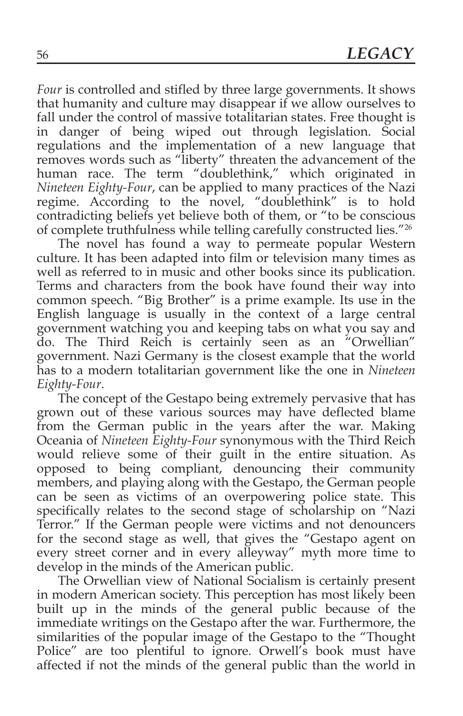*Four* is controlled and stifled by three large governments. It shows that humanity and culture may disappear if we allow ourselves to fall under the control of massive totalitarian states. Free thought is in danger of being wiped out through legislation. Social regulations and the implementation of a new language that removes words such as "liberty" threaten the advancement of the human race. The term "doublethink," which originated in *Nineteen Eighty-Four*, can be applied to many practices of the Nazi regime. According to the novel, "doublethink" is to hold contradicting beliefs yet believe both of them, or "to be conscious of complete truthfulness while telling carefully constructed lies."26

The novel has found a way to permeate popular Western culture. It has been adapted into film or television many times as well as referred to in music and other books since its publication. Terms and characters from the book have found their way into common speech. "Big Brother" is a prime example. Its use in the English language is usually in the context of a large central government watching you and keeping tabs on what you say and do. The Third Reich is certainly seen as an "Orwellian" government. Nazi Germany is the closest example that the world has to a modern totalitarian government like the one in *Nineteen Eighty-Four*.

The concept of the Gestapo being extremely pervasive that has grown out of these various sources may have deflected blame from the German public in the years after the war. Making Oceania of *Nineteen Eighty-Four* synonymous with the Third Reich would relieve some of their guilt in the entire situation. As opposed to being compliant, denouncing their community members, and playing along with the Gestapo, the German people can be seen as victims of an overpowering police state. This specifically relates to the second stage of scholarship on "Nazi Terror." If the German people were victims and not denouncers for the second stage as well, that gives the "Gestapo agent on every street corner and in every alleyway" myth more time to develop in the minds of the American public.

The Orwellian view of National Socialism is certainly present in modern American society. This perception has most likely been built up in the minds of the general public because of the immediate writings on the Gestapo after the war. Furthermore, the similarities of the popular image of the Gestapo to the "Thought Police" are too plentiful to ignore. Orwell's book must have affected if not the minds of the general public than the world in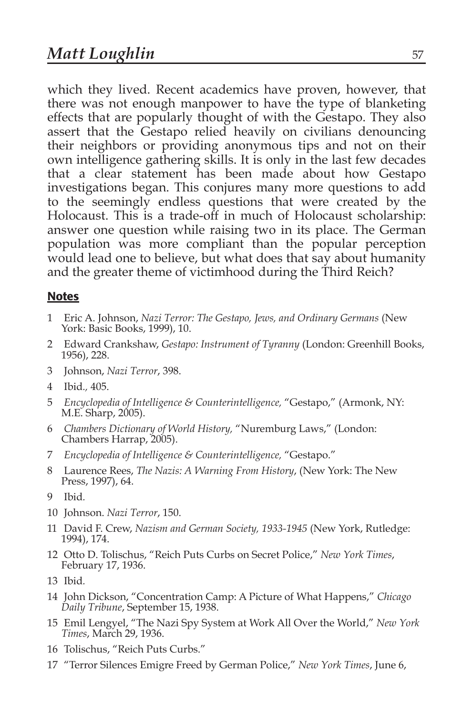which they lived. Recent academics have proven, however, that there was not enough manpower to have the type of blanketing effects that are popularly thought of with the Gestapo. They also assert that the Gestapo relied heavily on civilians denouncing their neighbors or providing anonymous tips and not on their own intelligence gathering skills. It is only in the last few decades that a clear statement has been made about how Gestapo investigations began. This conjures many more questions to add to the seemingly endless questions that were created by the Holocaust. This is a trade-off in much of Holocaust scholarship: answer one question while raising two in its place. The German population was more compliant than the popular perception would lead one to believe, but what does that say about humanity and the greater theme of victimhood during the Third Reich?

### **Notes**

- 1 Eric A. Johnson, *Nazi Terror: The Gestapo, Jews, and Ordinary Germans* (New York: Basic Books, 1999), 10.
- 2 Edward Crankshaw, *Gestapo: Instrument of Tyranny* (London: Greenhill Books, 1956), 228.
- 3 Johnson, *Nazi Terror*, 398.
- 4 Ibid*.,* 405.
- 5 *Encyclopedia of Intelligence & Counterintelligence,* "Gestapo," (Armonk, NY: M.E. Sharp, 2005).
- 6 *Chambers Dictionary of World History,* "Nuremburg Laws," (London: Chambers Harrap, 2005).
- 7 *Encyclopedia of Intelligence & Counterintelligence,* "Gestapo."
- 8 Laurence Rees, *The Nazis: A Warning From History*, (New York: The New Press, 1997), 64.
- 9 Ibid*.*
- 10 Johnson. *Nazi Terror*, 150.
- 11 David F. Crew, *Nazism and German Society, 1933-1945* (New York, Rutledge: 1994), 174.
- 12 Otto D. Tolischus, "Reich Puts Curbs on Secret Police," *New York Times*, February 17, 1936.
- 13 Ibid*.*
- 14 John Dickson, "Concentration Camp: A Picture of What Happens," *Chicago Daily Tribune*, September 15, 1938.
- 15 Emil Lengyel, "The Nazi Spy System at Work All Over the World," *New York Times*, March 29, 1936.
- 16 Tolischus, "Reich Puts Curbs."
- 17 "Terror Silences Emigre Freed by German Police," *New York Times*, June 6,